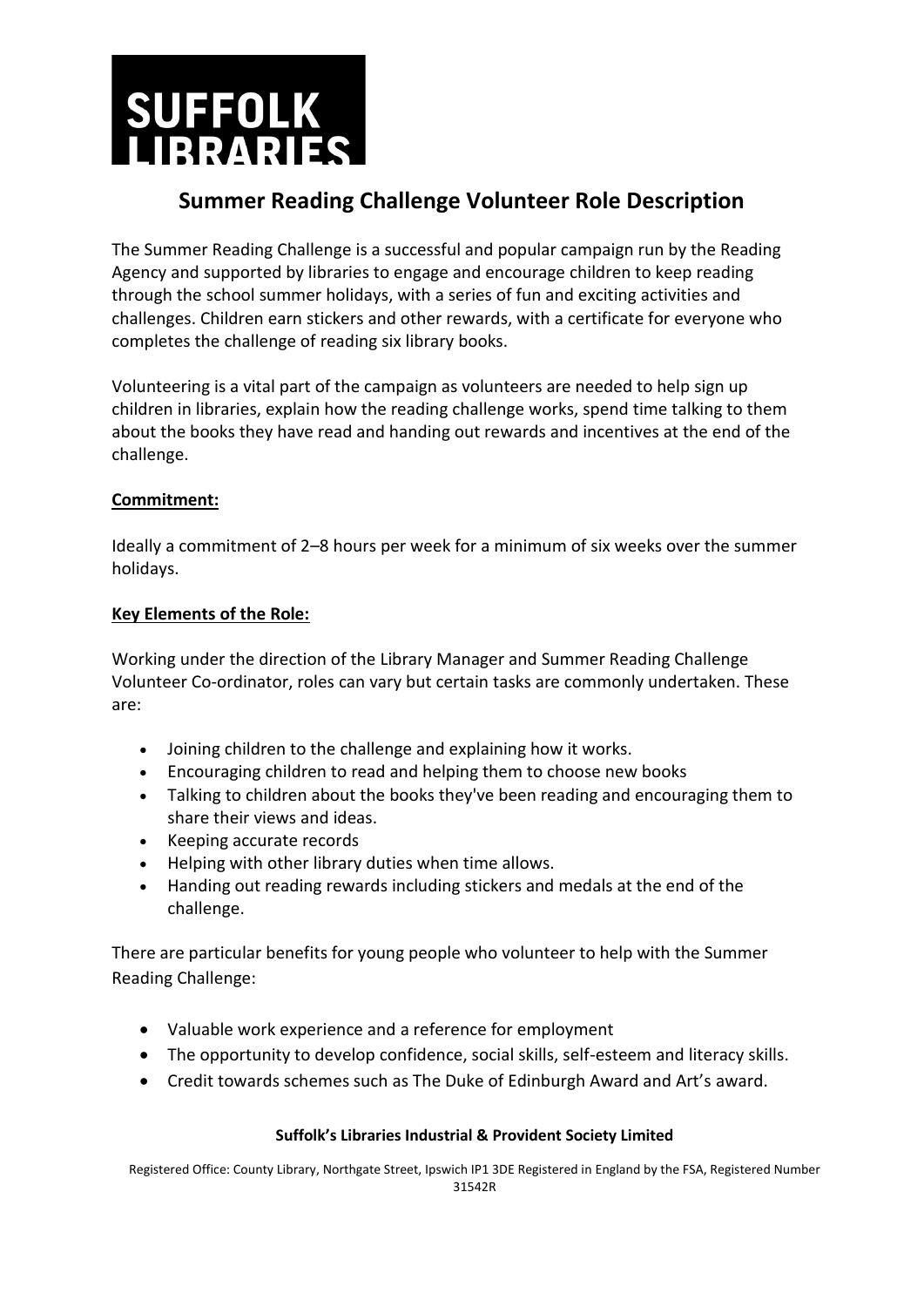

## **Summer Reading Challenge Volunteer Role Description**

The Summer Reading Challenge is a successful and popular campaign run by the Reading Agency and supported by libraries to engage and encourage children to keep reading through the school summer holidays, with a series of fun and exciting activities and challenges. Children earn stickers and other rewards, with a certificate for everyone who completes the challenge of reading six library books.

Volunteering is a vital part of the campaign as volunteers are needed to help sign up children in libraries, explain how the reading challenge works, spend time talking to them about the books they have read and handing out rewards and incentives at the end of the challenge.

#### **Commitment:**

Ideally a commitment of 2–8 hours per week for a minimum of six weeks over the summer holidays.

#### **Key Elements of the Role:**

Working under the direction of the Library Manager and Summer Reading Challenge Volunteer Co-ordinator, roles can vary but certain tasks are commonly undertaken. These are:

- Joining children to the challenge and explaining how it works.
- Encouraging children to read and helping them to choose new books
- Talking to children about the books they've been reading and encouraging them to share their views and ideas.
- Keeping accurate records
- Helping with other library duties when time allows.
- Handing out reading rewards including stickers and medals at the end of the challenge.

There are particular benefits for young people who volunteer to help with the Summer Reading Challenge:

- Valuable work experience and a reference for employment
- The opportunity to develop confidence, social skills, self-esteem and literacy skills.
- Credit towards schemes such as The Duke of Edinburgh Award and Art's award.

#### **Suffolk's Libraries Industrial & Provident Society Limited**

Registered Office: County Library, Northgate Street, Ipswich IP1 3DE Registered in England by the FSA, Registered Number 31542R